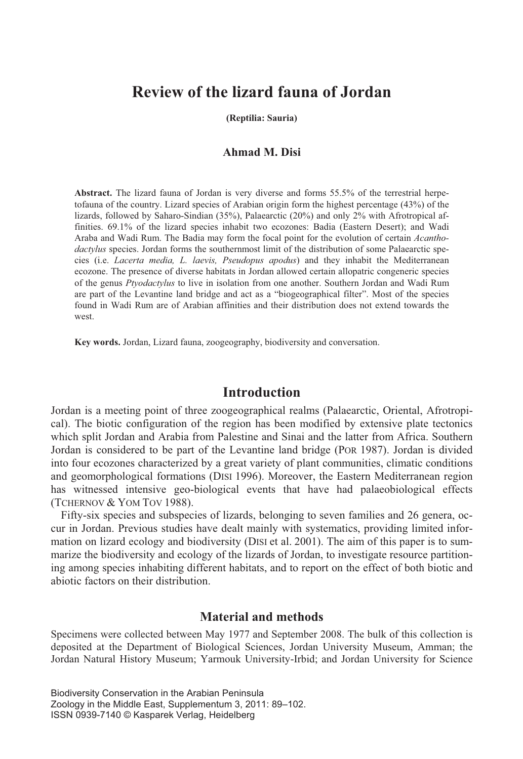# **Review of the lizard fauna of Jordan**

**(Reptilia: Sauria)** 

#### **Ahmad M. Disi**

**Abstract.** The lizard fauna of Jordan is very diverse and forms 55.5% of the terrestrial herpetofauna of the country. Lizard species of Arabian origin form the highest percentage (43%) of the lizards, followed by Saharo-Sindian (35%), Palaearctic (20%) and only 2% with Afrotropical affinities. 69.1% of the lizard species inhabit two ecozones: Badia (Eastern Desert); and Wadi Araba and Wadi Rum. The Badia may form the focal point for the evolution of certain *Acanthodactylus* species. Jordan forms the southernmost limit of the distribution of some Palaearctic species (i.e. *Lacerta media, L. laevis, Pseudopus apodus*) and they inhabit the Mediterranean ecozone. The presence of diverse habitats in Jordan allowed certain allopatric congeneric species of the genus *Ptyodactylus* to live in isolation from one another. Southern Jordan and Wadi Rum are part of the Levantine land bridge and act as a "biogeographical filter". Most of the species found in Wadi Rum are of Arabian affinities and their distribution does not extend towards the west.

**Key words.** Jordan, Lizard fauna, zoogeography, biodiversity and conversation.

# **Introduction**

Jordan is a meeting point of three zoogeographical realms (Palaearctic, Oriental, Afrotropical). The biotic configuration of the region has been modified by extensive plate tectonics which split Jordan and Arabia from Palestine and Sinai and the latter from Africa. Southern Jordan is considered to be part of the Levantine land bridge (POR 1987). Jordan is divided into four ecozones characterized by a great variety of plant communities, climatic conditions and geomorphological formations (DISI 1996). Moreover, the Eastern Mediterranean region has witnessed intensive geo-biological events that have had palaeobiological effects (TCHERNOV & YOM TOV 1988).

Fifty-six species and subspecies of lizards, belonging to seven families and 26 genera, occur in Jordan. Previous studies have dealt mainly with systematics, providing limited information on lizard ecology and biodiversity (DISI et al. 2001). The aim of this paper is to summarize the biodiversity and ecology of the lizards of Jordan, to investigate resource partitioning among species inhabiting different habitats, and to report on the effect of both biotic and abiotic factors on their distribution.

# **Material and methods**

Specimens were collected between May 1977 and September 2008. The bulk of this collection is deposited at the Department of Biological Sciences, Jordan University Museum, Amman; the Jordan Natural History Museum; Yarmouk University-Irbid; and Jordan University for Science

Biodiversity Conservation in the Arabian Peninsula Zoology in the Middle East, Supplementum 3, 2011: 89–102. ISSN 0939-7140 © Kasparek Verlag, Heidelberg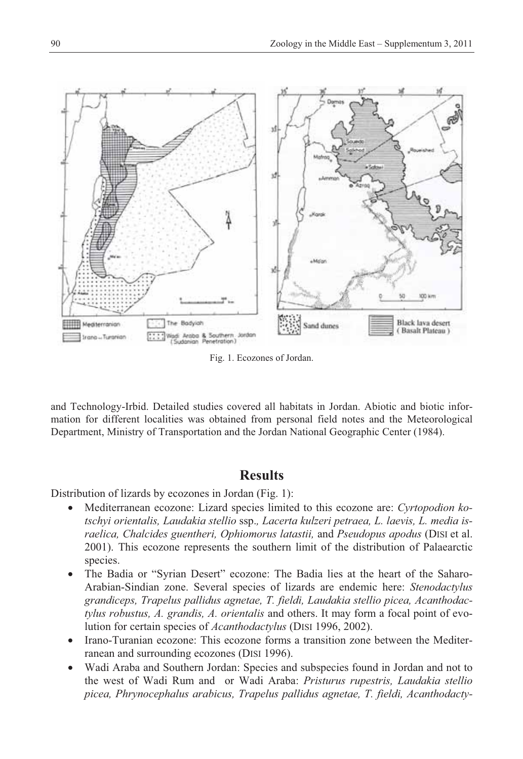

Fig. 1. Ecozones of Jordan.

and Technology-Irbid. Detailed studies covered all habitats in Jordan. Abiotic and biotic information for different localities was obtained from personal field notes and the Meteorological Department, Ministry of Transportation and the Jordan National Geographic Center (1984).

# **Results**

Distribution of lizards by ecozones in Jordan (Fig. 1):

- - Mediterranean ecozone: Lizard species limited to this ecozone are: *Cyrtopodion kotschyi orientalis, Laudakia stellio* ssp.*, Lacerta kulzeri petraea, L. laevis, L. media israelica, Chalcides guentheri, Ophiomorus latastii,* and *Pseudopus apodus* (DISI et al. 2001). This ecozone represents the southern limit of the distribution of Palaearctic species.
- - The Badia or "Syrian Desert" ecozone: The Badia lies at the heart of the Saharo-Arabian-Sindian zone. Several species of lizards are endemic here: *Stenodactylus grandiceps, Trapelus pallidus agnetae, T. fieldi, Laudakia stellio picea, Acanthodactylus robustus, A. grandis, A. orientalis* and others. It may form a focal point of evolution for certain species of *Acanthodactylus* (DISI 1996, 2002).
- - Irano-Turanian ecozone: This ecozone forms a transition zone between the Mediterranean and surrounding ecozones (DISI 1996).
- - Wadi Araba and Southern Jordan: Species and subspecies found in Jordan and not to the west of Wadi Rum and or Wadi Araba: *Pristurus rupestris, Laudakia stellio picea, Phrynocephalus arabicus, Trapelus pallidus agnetae, T. fieldi, Acanthodacty-*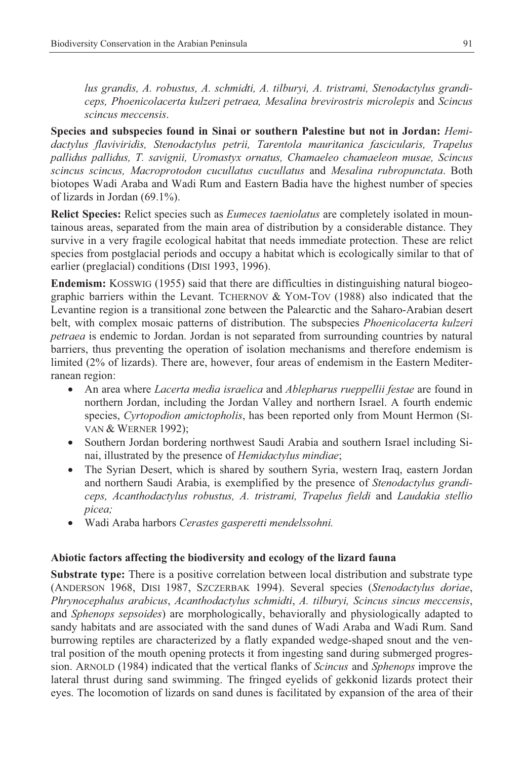*lus grandis, A. robustus, A. schmidti, A. tilburyi, A. tristrami, Stenodactylus grandiceps, Phoenicolacerta kulzeri petraea, Mesalina brevirostris microlepis* and *Scincus scincus meccensis*.

**Species and subspecies found in Sinai or southern Palestine but not in Jordan:** *Hemidactylus flaviviridis, Stenodactylus petrii, Tarentola mauritanica fascicularis, Trapelus pallidus pallidus, T. savignii, Uromastyx ornatus, Chamaeleo chamaeleon musae, Scincus scincus scincus, Macroprotodon cucullatus cucullatus* and *Mesalina rubropunctata*. Both biotopes Wadi Araba and Wadi Rum and Eastern Badia have the highest number of species of lizards in Jordan (69.1%).

**Relict Species:** Relict species such as *Eumeces taeniolatus* are completely isolated in mountainous areas, separated from the main area of distribution by a considerable distance. They survive in a very fragile ecological habitat that needs immediate protection. These are relict species from postglacial periods and occupy a habitat which is ecologically similar to that of earlier (preglacial) conditions (DISI 1993, 1996).

**Endemism:** KOSSWIG (1955) said that there are difficulties in distinguishing natural biogeographic barriers within the Levant. TCHERNOV  $&$  YOM-TOV (1988) also indicated that the Levantine region is a transitional zone between the Palearctic and the Saharo-Arabian desert belt, with complex mosaic patterns of distribution. The subspecies *Phoenicolacerta kulzeri petraea* is endemic to Jordan. Jordan is not separated from surrounding countries by natural barriers, thus preventing the operation of isolation mechanisms and therefore endemism is limited (2% of lizards). There are, however, four areas of endemism in the Eastern Mediterranean region:

- An area where *Lacerta media israelica* and *Ablepharus rueppellii festae* are found in northern Jordan, including the Jordan Valley and northern Israel. A fourth endemic species, *Cyrtopodion amictopholis*, has been reported only from Mount Hermon (SI-VAN & WERNER 1992);
- - Southern Jordan bordering northwest Saudi Arabia and southern Israel including Sinai, illustrated by the presence of *Hemidactylus mindiae*;
- $\bullet$  The Syrian Desert, which is shared by southern Syria, western Iraq, eastern Jordan and northern Saudi Arabia, is exemplified by the presence of *Stenodactylus grandiceps, Acanthodactylus robustus, A. tristrami, Trapelus fieldi* and *Laudakia stellio picea;*
- Wadi Araba harbors *Cerastes gasperetti mendelssohni.*

### **Abiotic factors affecting the biodiversity and ecology of the lizard fauna**

**Substrate type:** There is a positive correlation between local distribution and substrate type (ANDERSON 1968, DISI 1987, SZCZERBAK 1994). Several species (*Stenodactylus doriae*, *Phrynocephalus arabicus*, *Acanthodactylus schmidti*, *A. tilburyi, Scincus sincus meccensis*, and *Sphenops sepsoides*) are morphologically, behaviorally and physiologically adapted to sandy habitats and are associated with the sand dunes of Wadi Araba and Wadi Rum. Sand burrowing reptiles are characterized by a flatly expanded wedge-shaped snout and the ventral position of the mouth opening protects it from ingesting sand during submerged progression. ARNOLD (1984) indicated that the vertical flanks of *Scincus* and *Sphenops* improve the lateral thrust during sand swimming. The fringed eyelids of gekkonid lizards protect their eyes. The locomotion of lizards on sand dunes is facilitated by expansion of the area of their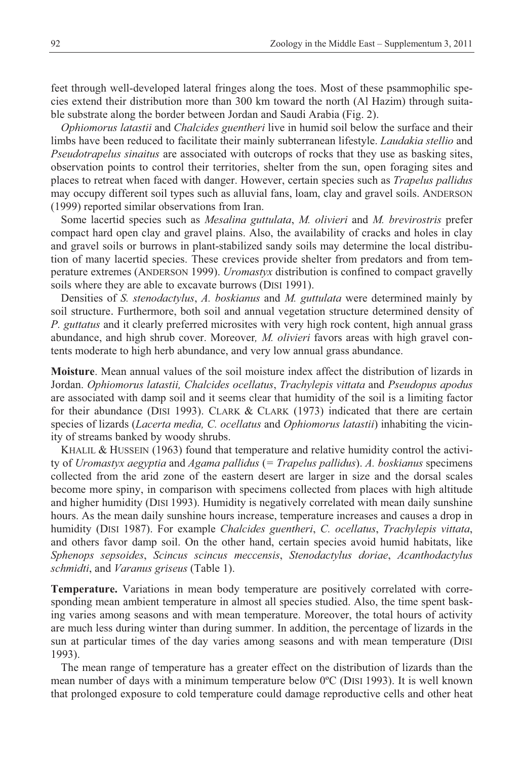feet through well-developed lateral fringes along the toes. Most of these psammophilic species extend their distribution more than 300 km toward the north (Al Hazim) through suitable substrate along the border between Jordan and Saudi Arabia (Fig. 2).

*Ophiomorus latastii* and *Chalcides guentheri* live in humid soil below the surface and their limbs have been reduced to facilitate their mainly subterranean lifestyle. *Laudakia stellio* and *Pseudotrapelus sinaitus* are associated with outcrops of rocks that they use as basking sites, observation points to control their territories, shelter from the sun, open foraging sites and places to retreat when faced with danger. However, certain species such as *Trapelus pallidus*  may occupy different soil types such as alluvial fans, loam, clay and gravel soils. ANDERSON (1999) reported similar observations from Iran.

Some lacertid species such as *Mesalina guttulata*, *M. olivieri* and *M. brevirostris* prefer compact hard open clay and gravel plains. Also, the availability of cracks and holes in clay and gravel soils or burrows in plant-stabilized sandy soils may determine the local distribution of many lacertid species. These crevices provide shelter from predators and from temperature extremes (ANDERSON 1999). *Uromastyx* distribution is confined to compact gravelly soils where they are able to excavate burrows (DISI 1991).

Densities of *S. stenodactylus*, *A. boskianus* and *M. guttulata* were determined mainly by soil structure. Furthermore, both soil and annual vegetation structure determined density of *P. guttatus* and it clearly preferred microsites with very high rock content, high annual grass abundance, and high shrub cover. Moreover*, M. olivieri* favors areas with high gravel contents moderate to high herb abundance, and very low annual grass abundance.

**Moisture**. Mean annual values of the soil moisture index affect the distribution of lizards in Jordan. *Ophiomorus latastii, Chalcides ocellatus*, *Trachylepis vittata* and *Pseudopus apodus*  are associated with damp soil and it seems clear that humidity of the soil is a limiting factor for their abundance (DISI 1993). CLARK  $&$  CLARK (1973) indicated that there are certain species of lizards (*Lacerta media, C. ocellatus* and *Ophiomorus latastii*) inhabiting the vicinity of streams banked by woody shrubs.

KHALIL & HUSSEIN (1963) found that temperature and relative humidity control the activity of *Uromastyx aegyptia* and *Agama pallidus* (*= Trapelus pallidus*). *A. boskianus* specimens collected from the arid zone of the eastern desert are larger in size and the dorsal scales become more spiny, in comparison with specimens collected from places with high altitude and higher humidity (DISI 1993). Humidity is negatively correlated with mean daily sunshine hours. As the mean daily sunshine hours increase, temperature increases and causes a drop in humidity (DISI 1987). For example *Chalcides guentheri*, *C. ocellatus*, *Trachylepis vittata*, and others favor damp soil. On the other hand, certain species avoid humid habitats, like *Sphenops sepsoides*, *Scincus scincus meccensis*, *Stenodactylus doriae*, *Acanthodactylus schmidti*, and *Varanus griseus* (Table 1).

**Temperature.** Variations in mean body temperature are positively correlated with corresponding mean ambient temperature in almost all species studied. Also, the time spent basking varies among seasons and with mean temperature. Moreover, the total hours of activity are much less during winter than during summer. In addition, the percentage of lizards in the sun at particular times of the day varies among seasons and with mean temperature (DISI 1993).

The mean range of temperature has a greater effect on the distribution of lizards than the mean number of days with a minimum temperature below 0ºC (DISI 1993). It is well known that prolonged exposure to cold temperature could damage reproductive cells and other heat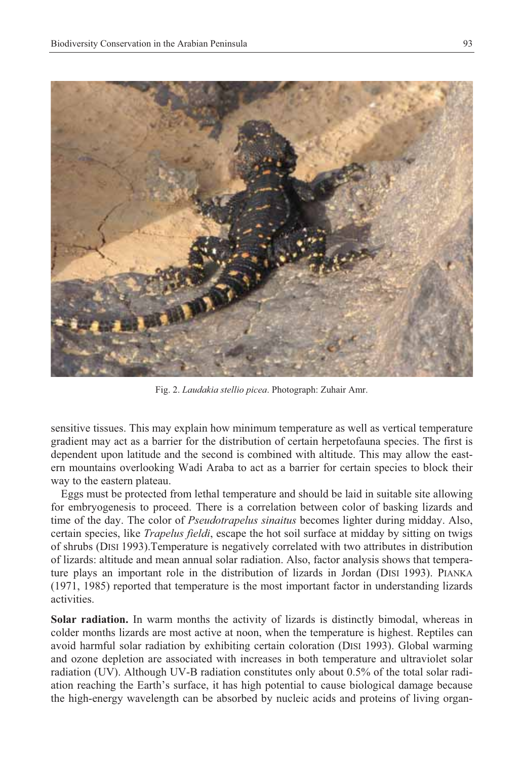

Fig. 2. *Laudakia stellio picea*. Photograph: Zuhair Amr.

sensitive tissues. This may explain how minimum temperature as well as vertical temperature gradient may act as a barrier for the distribution of certain herpetofauna species. The first is dependent upon latitude and the second is combined with altitude. This may allow the eastern mountains overlooking Wadi Araba to act as a barrier for certain species to block their way to the eastern plateau.

Eggs must be protected from lethal temperature and should be laid in suitable site allowing for embryogenesis to proceed. There is a correlation between color of basking lizards and time of the day. The color of *Pseudotrapelus sinaitus* becomes lighter during midday. Also, certain species, like *Trapelus fieldi*, escape the hot soil surface at midday by sitting on twigs of shrubs (DISI 1993).Temperature is negatively correlated with two attributes in distribution of lizards: altitude and mean annual solar radiation. Also, factor analysis shows that temperature plays an important role in the distribution of lizards in Jordan (DISI 1993). PIANKA (1971, 1985) reported that temperature is the most important factor in understanding lizards activities.

**Solar radiation.** In warm months the activity of lizards is distinctly bimodal, whereas in colder months lizards are most active at noon, when the temperature is highest. Reptiles can avoid harmful solar radiation by exhibiting certain coloration (DISI 1993). Global warming and ozone depletion are associated with increases in both temperature and ultraviolet solar radiation (UV). Although UV-B radiation constitutes only about 0.5% of the total solar radiation reaching the Earth's surface, it has high potential to cause biological damage because the high-energy wavelength can be absorbed by nucleic acids and proteins of living organ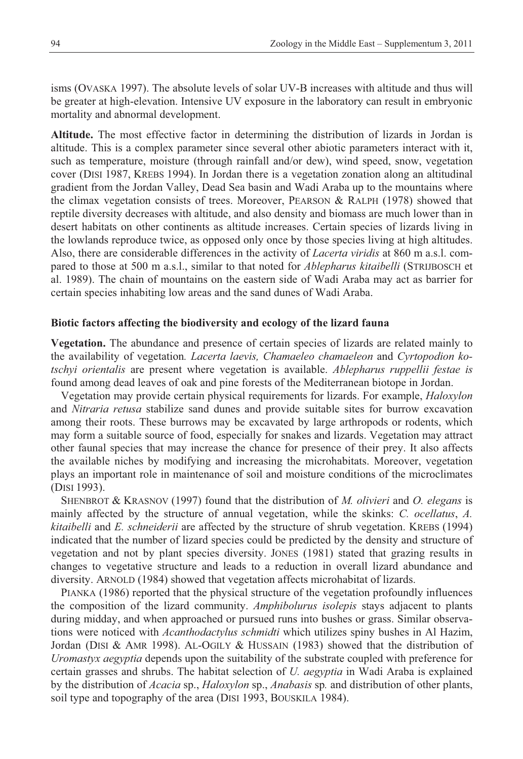isms (OVASKA 1997). The absolute levels of solar UV-B increases with altitude and thus will be greater at high-elevation. Intensive UV exposure in the laboratory can result in embryonic mortality and abnormal development.

**Altitude.** The most effective factor in determining the distribution of lizards in Jordan is altitude. This is a complex parameter since several other abiotic parameters interact with it, such as temperature, moisture (through rainfall and/or dew), wind speed, snow, vegetation cover (DISI 1987, KREBS 1994). In Jordan there is a vegetation zonation along an altitudinal gradient from the Jordan Valley, Dead Sea basin and Wadi Araba up to the mountains where the climax vegetation consists of trees. Moreover, PEARSON & RALPH (1978) showed that reptile diversity decreases with altitude, and also density and biomass are much lower than in desert habitats on other continents as altitude increases. Certain species of lizards living in the lowlands reproduce twice, as opposed only once by those species living at high altitudes. Also, there are considerable differences in the activity of *Lacerta viridis* at 860 m a.s.l. compared to those at 500 m a.s.l., similar to that noted for *Ablepharus kitaibelli* (STRIJBOSCH et al. 1989). The chain of mountains on the eastern side of Wadi Araba may act as barrier for certain species inhabiting low areas and the sand dunes of Wadi Araba.

#### **Biotic factors affecting the biodiversity and ecology of the lizard fauna**

**Vegetation.** The abundance and presence of certain species of lizards are related mainly to the availability of vegetation*. Lacerta laevis, Chamaeleo chamaeleon* and *Cyrtopodion kotschyi orientalis* are present where vegetation is available. *Ablepharus ruppellii festae is* found among dead leaves of oak and pine forests of the Mediterranean biotope in Jordan.

Vegetation may provide certain physical requirements for lizards. For example, *Haloxylon* and *Nitraria retusa* stabilize sand dunes and provide suitable sites for burrow excavation among their roots. These burrows may be excavated by large arthropods or rodents, which may form a suitable source of food, especially for snakes and lizards. Vegetation may attract other faunal species that may increase the chance for presence of their prey. It also affects the available niches by modifying and increasing the microhabitats. Moreover, vegetation plays an important role in maintenance of soil and moisture conditions of the microclimates (DISI 1993).

SHENBROT & KRASNOV (1997) found that the distribution of *M. olivieri* and *O. elegans* is mainly affected by the structure of annual vegetation, while the skinks: *C. ocellatus*, *A. kitaibelli* and *E. schneiderii* are affected by the structure of shrub vegetation. KREBS (1994) indicated that the number of lizard species could be predicted by the density and structure of vegetation and not by plant species diversity. JONES (1981) stated that grazing results in changes to vegetative structure and leads to a reduction in overall lizard abundance and diversity. ARNOLD (1984) showed that vegetation affects microhabitat of lizards.

PIANKA (1986) reported that the physical structure of the vegetation profoundly influences the composition of the lizard community. *Amphibolurus isolepis* stays adjacent to plants during midday, and when approached or pursued runs into bushes or grass. Similar observations were noticed with *Acanthodactylus schmidti* which utilizes spiny bushes in Al Hazim, Jordan (DISI & AMR 1998). AL-OGILY & HUSSAIN (1983) showed that the distribution of *Uromastyx aegyptia* depends upon the suitability of the substrate coupled with preference for certain grasses and shrubs. The habitat selection of *U. aegyptia* in Wadi Araba is explained by the distribution of *Acacia* sp., *Haloxylon* sp., *Anabasis* sp*.* and distribution of other plants, soil type and topography of the area (DISI 1993, BOUSKILA 1984).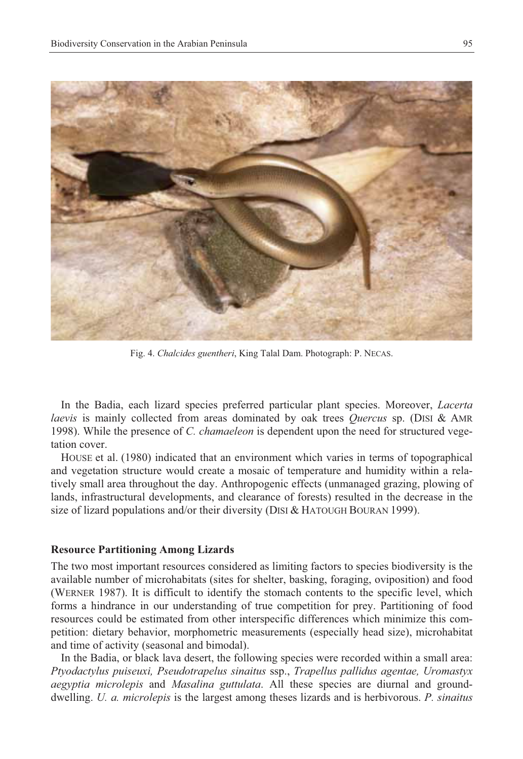

Fig. 4. *Chalcides guentheri*, King Talal Dam. Photograph: P. NECAS.

In the Badia, each lizard species preferred particular plant species. Moreover, *Lacerta laevis* is mainly collected from areas dominated by oak trees *Quercus* sp. (DISI & AMR 1998). While the presence of *C. chamaeleon* is dependent upon the need for structured vegetation cover.

HOUSE et al. (1980) indicated that an environment which varies in terms of topographical and vegetation structure would create a mosaic of temperature and humidity within a relatively small area throughout the day. Anthropogenic effects (unmanaged grazing, plowing of lands, infrastructural developments, and clearance of forests) resulted in the decrease in the size of lizard populations and/or their diversity (DISI & HATOUGH BOURAN 1999).

#### **Resource Partitioning Among Lizards**

The two most important resources considered as limiting factors to species biodiversity is the available number of microhabitats (sites for shelter, basking, foraging, oviposition) and food (WERNER 1987). It is difficult to identify the stomach contents to the specific level, which forms a hindrance in our understanding of true competition for prey. Partitioning of food resources could be estimated from other interspecific differences which minimize this competition: dietary behavior, morphometric measurements (especially head size), microhabitat and time of activity (seasonal and bimodal).

In the Badia, or black lava desert, the following species were recorded within a small area: *Ptyodactylus puiseuxi, Pseudotrapelus sinaitus* ssp., *Trapellus pallidus agentae, Uromastyx aegyptia microlepis* and *Masalina guttulata*. All these species are diurnal and grounddwelling. *U. a. microlepis* is the largest among theses lizards and is herbivorous. *P. sinaitus*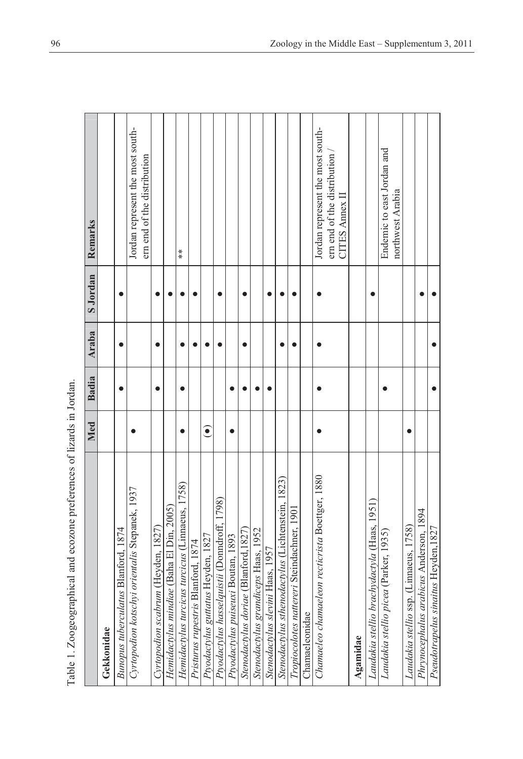| I | l<br>ׇ֚֬֓֡<br>ł<br>l                           |
|---|------------------------------------------------|
|   |                                                |
| ï | ı                                              |
|   | ł                                              |
|   |                                                |
|   | $\overline{\phantom{a}}$<br>i<br>l<br>ł<br>ı   |
|   | į<br>١<br>I<br>i<br>The Same<br>į              |
| ľ | ţ<br>í<br>i<br>į<br>۱<br>l<br>l<br>١<br>J<br>j |
|   | l                                              |
| ŀ | J<br>í                                         |

| Table 1. Zoogeographical and ecozone preferences of lizards in Jordan. |                     |           |       |           |                                                                |
|------------------------------------------------------------------------|---------------------|-----------|-------|-----------|----------------------------------------------------------------|
|                                                                        | Med                 | Badia     | Araba | S Jordan  | Remarks                                                        |
| Gekkonidae                                                             |                     |           |       |           |                                                                |
| Bunopus tuberculatus Blanford, 1874                                    |                     | $\bullet$ |       | $\bullet$ |                                                                |
| Cyrtopodion kotschyi orientalis Stepanek, 1937                         |                     |           |       |           | Jordan represent the most south-<br>em end of the distribution |
| Cyrtopodion scabrum (Heyden, 1827)                                     |                     |           |       |           |                                                                |
| Hemidactylus mindiae (Baha El Din, 2005)                               |                     |           |       |           |                                                                |
| Hemidactylus turcicus turcicus (Linnaeus, 1758)                        |                     |           |       |           | $* *$                                                          |
| Pristurus rupestris Blanford, 1874                                     |                     |           |       |           |                                                                |
| Ptyodactylus guttatus Heyden, 1827                                     | $\widehat{\bullet}$ |           |       |           |                                                                |
| Ptyodactylus hasselquistii (Donndroff, 1798)                           |                     |           |       | ă         |                                                                |
| Ptyodactylus puiseuxi Boutan, 1893                                     |                     |           |       |           |                                                                |
| Stenodactylus doriae (Blanford, 1827)                                  |                     |           |       |           |                                                                |
| Stenodactylus grandiceps Haas, 1952                                    |                     |           |       |           |                                                                |
| Stenodactylus slevini Haas, 1957                                       |                     |           |       |           |                                                                |
| Stenodactylus sthenodactylus (Lichtenstein, 1823)                      |                     |           |       |           |                                                                |
| Tropiocolotes nattereri Steindachner, 1901                             |                     |           |       |           |                                                                |
| Chamaeleonidae                                                         |                     |           |       |           |                                                                |
| Chamaeleo chamaeleon recticrista Boettger, 1880                        |                     |           |       |           | Jordan represent the most south-                               |
|                                                                        |                     |           |       |           | em end of the distribution /<br><b>CITES Annex II</b>          |
| Agamidae                                                               |                     |           |       |           |                                                                |
| Laudakia stellio brachydactyla (Haas, 1951)                            |                     |           |       |           |                                                                |
| Laudakia stellio picea (Parker, 1935)                                  |                     |           |       |           | Endemic to east Jordan and<br>northwest Arabia                 |
| Laudakia stellio ssp. (Linnaeus, 1758)                                 |                     |           |       |           |                                                                |
| Phrynocephalus arabicus Anderson, 1894                                 |                     |           |       |           |                                                                |
| Pseudotrapelus sinaitus Heyden, 1827                                   |                     |           |       |           |                                                                |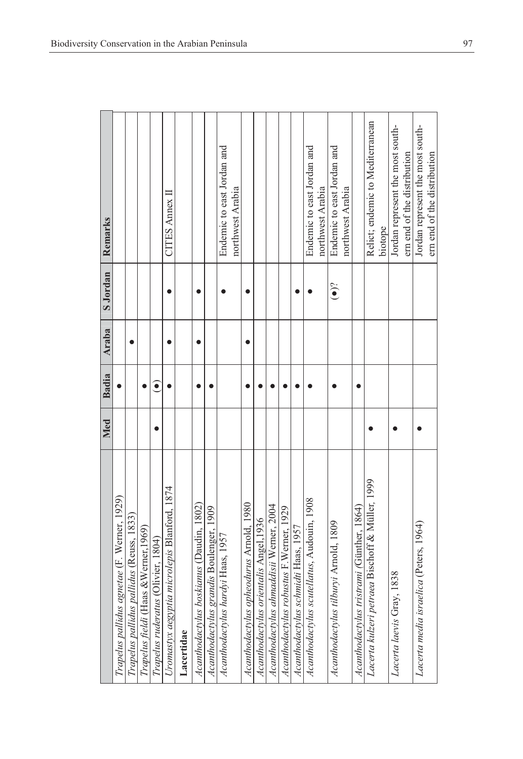|                                                 | Med | Badia               | Araba | S Jordan              | Remarks                                        |
|-------------------------------------------------|-----|---------------------|-------|-----------------------|------------------------------------------------|
| Trapelus pallidus agnetae (F. Werner, 1929)     |     |                     |       |                       |                                                |
| Trapelus pallidus pallidus (Reuss, 1833)        |     |                     |       |                       |                                                |
| Trapelus fieldi (Haas & Werner, 1969)           |     |                     |       |                       |                                                |
| Trapelus ruderatus (Olivier, 1804)              |     | $\widehat{\bullet}$ |       |                       |                                                |
| Uromastyx aegyptia microlepis Blanford, 1874    |     |                     |       |                       | CITES Annex II                                 |
| Lacertidae                                      |     |                     |       |                       |                                                |
| Acanthodactylus boskianus (Daudin, 1802)        |     |                     |       |                       |                                                |
| Acanthodactylus grandis Boulenger, 1909         |     |                     |       |                       |                                                |
| Acanthodactylus hardyi Haas, 1957               |     |                     |       |                       | Endemic to east Jordan and<br>northwest Arabia |
| Acanthodactylus opheodurus Arnold, 1980         |     |                     |       |                       |                                                |
| Acanthodactylus orientalis Angel, 1936          |     |                     |       |                       |                                                |
| Acanthodactylus ahmaddisii Werner, 2004         |     |                     |       |                       |                                                |
| Acanthodactylus robustus F.Wemer, 1929          |     |                     |       |                       |                                                |
| Acanthodactylus schmidti Haas, 1957             |     |                     |       |                       |                                                |
| Acanthodactylus scutellatus, Audouin, 1908      |     |                     |       |                       | Endemic to east Jordan and<br>northwest Arabia |
| Acanthodactylus tilburyi Amold, 1809            |     |                     |       | $\widetilde{\bullet}$ | Endemic to east Jordan and<br>northwest Arabia |
| Acanthodactylus tristrami (Günther, 1864)       |     |                     |       |                       |                                                |
| Lacerta kulzeri petraea Bischoff & Müller, 1999 |     |                     |       |                       | Relict; endemic to Mediterranean               |
|                                                 |     |                     |       |                       | biotope                                        |
| Lacerta laevis Gray, 1838                       |     |                     |       |                       | Jordan represent the most south-               |
|                                                 |     |                     |       |                       | em end of the distribution                     |
| Lacerta media israelica (Peters, 1964)          |     |                     |       |                       | Jordan represent the most south-               |
|                                                 |     |                     |       |                       | em end of the distribution                     |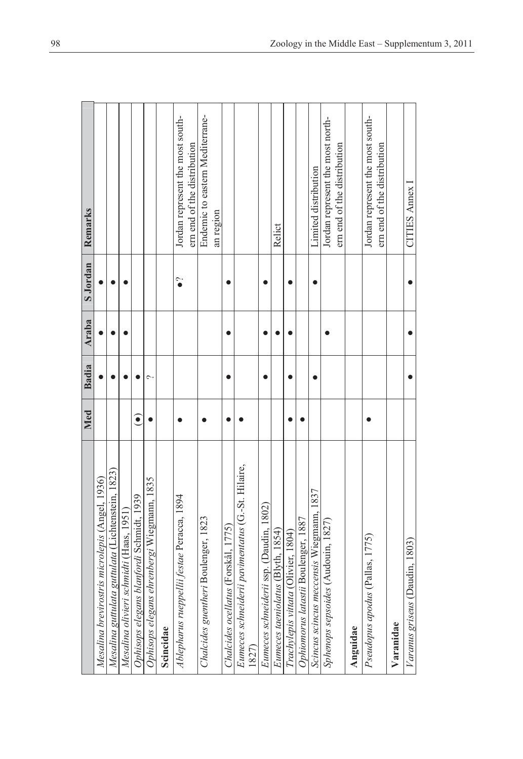| Remarks  |                                                |                                                   |                                         |                                          |                                            |           | Jordan represent the most south-           | em end of the distribution | Endemic to eastern Mediterrane-<br>an region |                                     |                                                            |                                         | Relict                            |                                     |                                     | Limited distribution                     | Jordan represent the most north-<br>em end of the distribution |          | Jordan represent the most south-<br>em end of the distribution |           | <b>CITIES Annex I</b>          |
|----------|------------------------------------------------|---------------------------------------------------|-----------------------------------------|------------------------------------------|--------------------------------------------|-----------|--------------------------------------------|----------------------------|----------------------------------------------|-------------------------------------|------------------------------------------------------------|-----------------------------------------|-----------------------------------|-------------------------------------|-------------------------------------|------------------------------------------|----------------------------------------------------------------|----------|----------------------------------------------------------------|-----------|--------------------------------|
| S Jordan |                                                |                                                   |                                         |                                          |                                            |           | ွဲ                                         |                            |                                              |                                     |                                                            |                                         |                                   |                                     |                                     |                                          |                                                                |          |                                                                |           |                                |
| Araba    |                                                |                                                   |                                         |                                          |                                            |           |                                            |                            |                                              |                                     |                                                            |                                         |                                   |                                     |                                     |                                          |                                                                |          |                                                                |           |                                |
| Badia    |                                                |                                                   |                                         |                                          | $\sim$                                     |           |                                            |                            |                                              |                                     |                                                            |                                         |                                   |                                     |                                     |                                          |                                                                |          |                                                                |           |                                |
| Med      |                                                |                                                   |                                         | $\widehat{\bullet}$                      |                                            |           |                                            |                            |                                              |                                     |                                                            |                                         |                                   |                                     |                                     |                                          |                                                                |          |                                                                |           |                                |
|          | Mesalina brevirostris microlepis (Angel, 1936) | Mesalina guttulata guttulata (Lichtenstein, 1823) | Mesalina olivieri schmidti (Haas, 1951) | Ophisops elegans blanfordi Schmidt, 1939 | Ophisops elegans ehrenbergi Wiegmann, 1835 | Scincidae | Ablepharus rueppellii festae Peracca, 1894 |                            | Chalcides guentheri Boulenger, 1823          | Chalcides ocellatus (Forskål, 1775) | Eumeces schneiderii pavimentatus (G.-St. Hilaire,<br>1827) | Eumeces schneiderii ssp. (Daudin, 1802) | Eumeces taeniolatus (Blyth, 1854) | Trachylepis vittata (Olivier, 1804) | Ophiomorus latastii Boulenger, 1887 | Scincus scincus meccensis Wiegmann, 1837 | Sphenops sepsoides (Audouin, 1827)                             | Anguidae | Pseudopus apodus (Pallas, 1775)                                | Varanidae | Varanus griseus (Daudin, 1803) |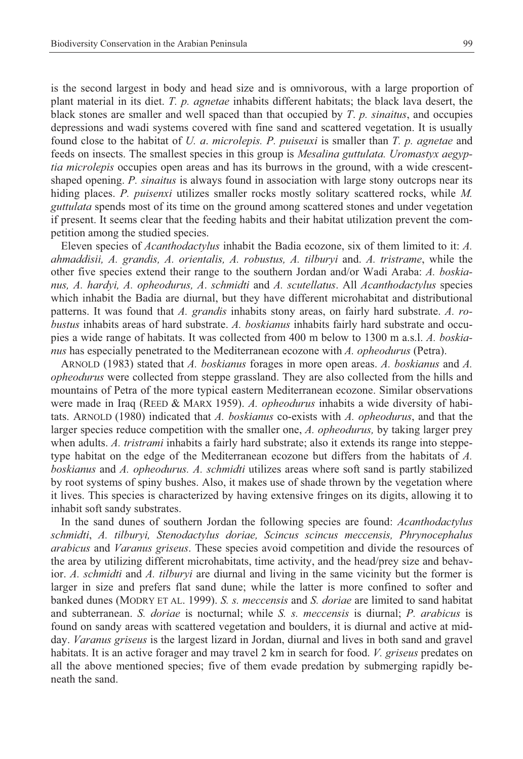is the second largest in body and head size and is omnivorous, with a large proportion of plant material in its diet. *T. p. agnetae* inhabits different habitats; the black lava desert, the black stones are smaller and well spaced than that occupied by *T*. *p. sinaitus*, and occupies depressions and wadi systems covered with fine sand and scattered vegetation. It is usually found close to the habitat of *U. a*. *microlepis. P. puiseuxi* is smaller than *T. p. agnetae* and feeds on insects. The smallest species in this group is *Mesalina guttulata. Uromastyx aegyptia microlepis* occupies open areas and has its burrows in the ground, with a wide crescentshaped opening. *P. sinaitus* is always found in association with large stony outcrops near its hiding places. *P. puisenxi* utilizes smaller rocks mostly solitary scattered rocks, while *M. guttulata* spends most of its time on the ground among scattered stones and under vegetation if present. It seems clear that the feeding habits and their habitat utilization prevent the competition among the studied species.

Eleven species of *Acanthodactylus* inhabit the Badia ecozone, six of them limited to it: *A. ahmaddisii, A. grandis, A. orientalis, A. robustus, A. tilburyi* and. *A. tristrame*, while the other five species extend their range to the southern Jordan and/or Wadi Araba: *A. boskianus, A. hardyi, A. opheodurus, A*. *schmidti* and *A. scutellatus*. All *Acanthodactylus* species which inhabit the Badia are diurnal, but they have different microhabitat and distributional patterns. It was found that *A. grandis* inhabits stony areas, on fairly hard substrate. *A. robustus* inhabits areas of hard substrate. *A. boskianus* inhabits fairly hard substrate and occupies a wide range of habitats. It was collected from 400 m below to 1300 m a.s.l. *A. boskianus* has especially penetrated to the Mediterranean ecozone with *A. opheodurus* (Petra).

ARNOLD (1983) stated that *A. boskianus* forages in more open areas. *A. boskianus* and *A. opheodurus* were collected from steppe grassland. They are also collected from the hills and mountains of Petra of the more typical eastern Mediterranean ecozone. Similar observations were made in Iraq (REED & MARX 1959). *A. opheodurus* inhabits a wide diversity of habitats. ARNOLD (1980) indicated that *A. boskianus* co-exists with *A. opheodurus*, and that the larger species reduce competition with the smaller one, *A. opheodurus,* by taking larger prey when adults. *A. tristrami* inhabits a fairly hard substrate; also it extends its range into steppetype habitat on the edge of the Mediterranean ecozone but differs from the habitats of *A. boskianus* and *A. opheodurus. A. schmidti* utilizes areas where soft sand is partly stabilized by root systems of spiny bushes. Also, it makes use of shade thrown by the vegetation where it lives. This species is characterized by having extensive fringes on its digits, allowing it to inhabit soft sandy substrates.

In the sand dunes of southern Jordan the following species are found: *Acanthodactylus schmidti*, *A. tilburyi, Stenodactylus doriae, Scincus scincus meccensis, Phrynocephalus arabicus* and *Varanus griseus*. These species avoid competition and divide the resources of the area by utilizing different microhabitats, time activity, and the head/prey size and behavior. *A. schmidti* and *A. tilburyi* are diurnal and living in the same vicinity but the former is larger in size and prefers flat sand dune; while the latter is more confined to softer and banked dunes (MODRY ET AL. 1999). *S. s. meccensis* and *S. doriae* are limited to sand habitat and subterranean. *S. doriae* is nocturnal; while *S. s. meccensis* is diurnal; *P. arabicus* is found on sandy areas with scattered vegetation and boulders, it is diurnal and active at midday. *Varanus griseus* is the largest lizard in Jordan, diurnal and lives in both sand and gravel habitats. It is an active forager and may travel 2 km in search for food. *V. griseus* predates on all the above mentioned species; five of them evade predation by submerging rapidly beneath the sand.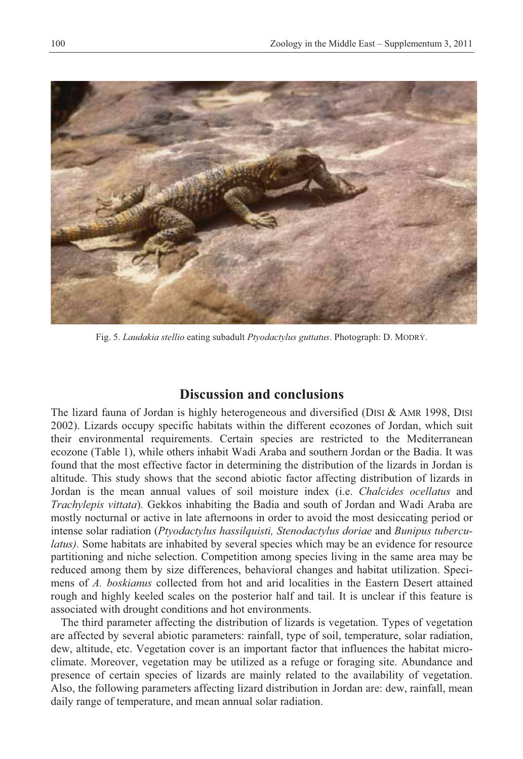

Fig. 5. *Laudakia stellio* eating subadult *Ptyodactylus guttatus*. Photograph: D. MODR.

# **Discussion and conclusions**

The lizard fauna of Jordan is highly heterogeneous and diversified (DISI & AMR 1998, DISI 2002). Lizards occupy specific habitats within the different ecozones of Jordan, which suit their environmental requirements. Certain species are restricted to the Mediterranean ecozone (Table 1), while others inhabit Wadi Araba and southern Jordan or the Badia. It was found that the most effective factor in determining the distribution of the lizards in Jordan is altitude. This study shows that the second abiotic factor affecting distribution of lizards in Jordan is the mean annual values of soil moisture index (i.e. *Chalcides ocellatus* and *Trachylepis vittata*). Gekkos inhabiting the Badia and south of Jordan and Wadi Araba are mostly nocturnal or active in late afternoons in order to avoid the most desiccating period or intense solar radiation (*Ptyodactylus hassilquisti, Stenodactylus doriae* and *Bunipus tuberculatus*). Some habitats are inhabited by several species which may be an evidence for resource partitioning and niche selection. Competition among species living in the same area may be reduced among them by size differences, behavioral changes and habitat utilization. Specimens of *A. boskianus* collected from hot and arid localities in the Eastern Desert attained rough and highly keeled scales on the posterior half and tail. It is unclear if this feature is associated with drought conditions and hot environments.

The third parameter affecting the distribution of lizards is vegetation. Types of vegetation are affected by several abiotic parameters: rainfall, type of soil, temperature, solar radiation, dew, altitude, etc. Vegetation cover is an important factor that influences the habitat microclimate. Moreover, vegetation may be utilized as a refuge or foraging site. Abundance and presence of certain species of lizards are mainly related to the availability of vegetation. Also, the following parameters affecting lizard distribution in Jordan are: dew, rainfall, mean daily range of temperature, and mean annual solar radiation.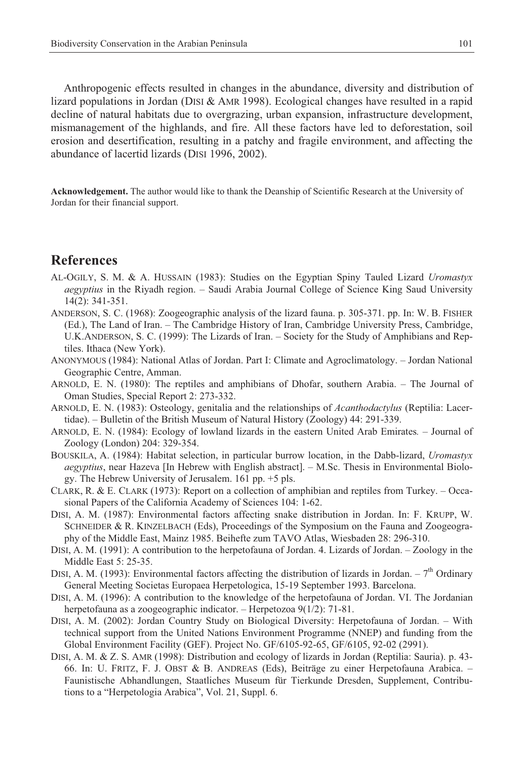Anthropogenic effects resulted in changes in the abundance, diversity and distribution of lizard populations in Jordan (DISI & AMR 1998). Ecological changes have resulted in a rapid decline of natural habitats due to overgrazing, urban expansion, infrastructure development, mismanagement of the highlands, and fire. All these factors have led to deforestation, soil erosion and desertification, resulting in a patchy and fragile environment, and affecting the abundance of lacertid lizards (DISI 1996, 2002).

**Acknowledgement.** The author would like to thank the Deanship of Scientific Research at the University of Jordan for their financial support.

## **References**

- AL-OGILY, S. M. & A. HUSSAIN (1983): Studies on the Egyptian Spiny Tauled Lizard *Uromastyx aegyptius* in the Riyadh region. – Saudi Arabia Journal College of Science King Saud University 14(2): 341-351.
- ANDERSON, S. C. (1968): Zoogeographic analysis of the lizard fauna. p. 305-371. pp. In: W. B. FISHER (Ed.), The Land of Iran. – The Cambridge History of Iran, Cambridge University Press, Cambridge, U.K.ANDERSON, S. C. (1999): The Lizards of Iran. – Society for the Study of Amphibians and Reptiles. Ithaca (New York).
- ANONYMOUS (1984): National Atlas of Jordan. Part I: Climate and Agroclimatology. Jordan National Geographic Centre, Amman.
- ARNOLD, E. N. (1980): The reptiles and amphibians of Dhofar, southern Arabia. The Journal of Oman Studies, Special Report 2: 273-332.
- ARNOLD, E. N. (1983): Osteology, genitalia and the relationships of *Acanthodactylus* (Reptilia: Lacertidae). – Bulletin of the British Museum of Natural History (Zoology) 44: 291-339.
- ARNOLD, E. N. (1984): Ecology of lowland lizards in the eastern United Arab Emirates*.* Journal of Zoology (London) 204: 329-354.
- BOUSKILA, A. (1984): Habitat selection, in particular burrow location, in the Dabb-lizard, *Uromastyx aegyptius*, near Hazeva [In Hebrew with English abstract]. – M.Sc. Thesis in Environmental Biology. The Hebrew University of Jerusalem. 161 pp. +5 pls.
- CLARK, R. & E. CLARK (1973): Report on a collection of amphibian and reptiles from Turkey. Occasional Papers of the California Academy of Sciences 104: 1-62.
- DISI, A. M. (1987): Environmental factors affecting snake distribution in Jordan. In: F. KRUPP, W. SCHNEIDER & R. KINZELBACH (Eds), Proceedings of the Symposium on the Fauna and Zoogeography of the Middle East, Mainz 1985. Beihefte zum TAVO Atlas, Wiesbaden 28: 296-310.
- DISI, A. M. (1991): A contribution to the herpetofauna of Jordan. 4. Lizards of Jordan. Zoology in the Middle East 5: 25-35.
- DISI, A. M. (1993): Environmental factors affecting the distribution of lizards in Jordan.  $7<sup>th</sup>$  Ordinary General Meeting Societas Europaea Herpetologica, 15-19 September 1993. Barcelona.
- DISI, A. M. (1996): A contribution to the knowledge of the herpetofauna of Jordan. VI. The Jordanian herpetofauna as a zoogeographic indicator. – Herpetozoa 9(1/2): 71-81.
- DISI, A. M. (2002): Jordan Country Study on Biological Diversity: Herpetofauna of Jordan. With technical support from the United Nations Environment Programme (NNEP) and funding from the Global Environment Facility (GEF). Project No. GF/6105-92-65, GF/6105, 92-02 (2991).
- DISI, A. M. & Z. S. AMR (1998): Distribution and ecology of lizards in Jordan (Reptilia: Sauria). p. 43- 66. In: U. FRITZ, F. J. OBST & B. ANDREAS (Eds), Beiträge zu einer Herpetofauna Arabica. – Faunistische Abhandlungen, Staatliches Museum für Tierkunde Dresden, Supplement, Contributions to a "Herpetologia Arabica", Vol. 21, Suppl. 6.